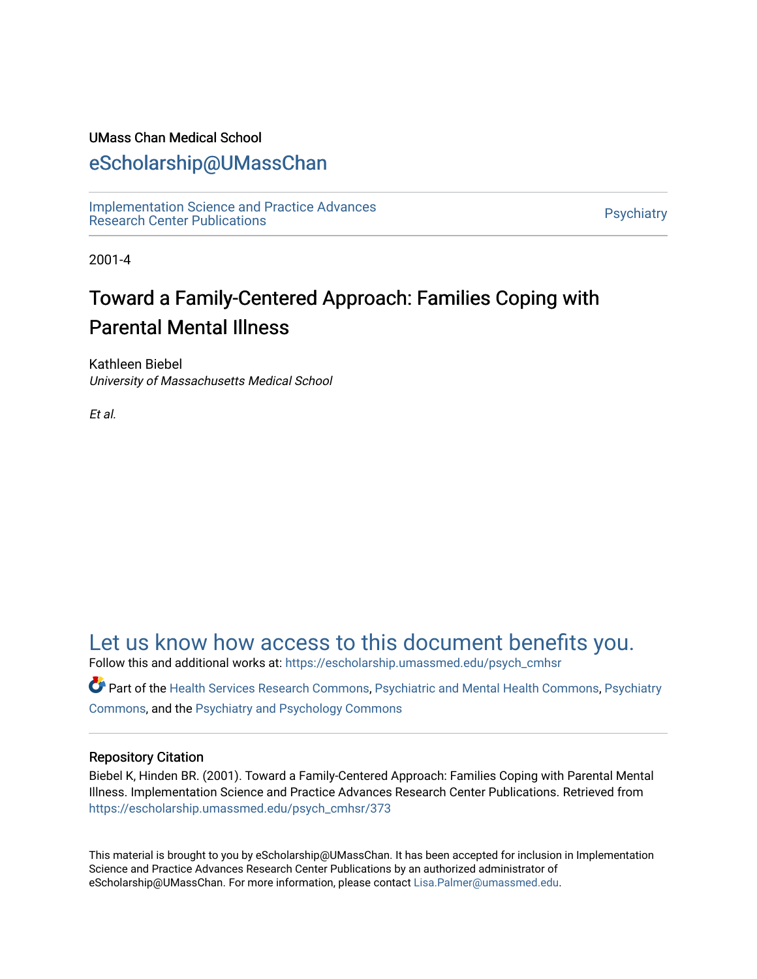#### UMass Chan Medical School

## [eScholarship@UMassChan](https://escholarship.umassmed.edu/)

[Implementation Science and Practice Advances](https://escholarship.umassmed.edu/psych_cmhsr)  niplementation science and Practice Advances<br>Research Center Publications

2001-4

# Toward a Family-Centered Approach: Families Coping with Parental Mental Illness

Kathleen Biebel University of Massachusetts Medical School

Et al.

## [Let us know how access to this document benefits you.](https://arcsapps.umassmed.edu/redcap/surveys/?s=XWRHNF9EJE)

Follow this and additional works at: [https://escholarship.umassmed.edu/psych\\_cmhsr](https://escholarship.umassmed.edu/psych_cmhsr?utm_source=escholarship.umassmed.edu%2Fpsych_cmhsr%2F373&utm_medium=PDF&utm_campaign=PDFCoverPages)

Part of the [Health Services Research Commons,](http://network.bepress.com/hgg/discipline/816?utm_source=escholarship.umassmed.edu%2Fpsych_cmhsr%2F373&utm_medium=PDF&utm_campaign=PDFCoverPages) [Psychiatric and Mental Health Commons,](http://network.bepress.com/hgg/discipline/711?utm_source=escholarship.umassmed.edu%2Fpsych_cmhsr%2F373&utm_medium=PDF&utm_campaign=PDFCoverPages) [Psychiatry](http://network.bepress.com/hgg/discipline/704?utm_source=escholarship.umassmed.edu%2Fpsych_cmhsr%2F373&utm_medium=PDF&utm_campaign=PDFCoverPages) [Commons](http://network.bepress.com/hgg/discipline/704?utm_source=escholarship.umassmed.edu%2Fpsych_cmhsr%2F373&utm_medium=PDF&utm_campaign=PDFCoverPages), and the [Psychiatry and Psychology Commons](http://network.bepress.com/hgg/discipline/908?utm_source=escholarship.umassmed.edu%2Fpsych_cmhsr%2F373&utm_medium=PDF&utm_campaign=PDFCoverPages) 

#### Repository Citation

Biebel K, Hinden BR. (2001). Toward a Family-Centered Approach: Families Coping with Parental Mental Illness. Implementation Science and Practice Advances Research Center Publications. Retrieved from [https://escholarship.umassmed.edu/psych\\_cmhsr/373](https://escholarship.umassmed.edu/psych_cmhsr/373?utm_source=escholarship.umassmed.edu%2Fpsych_cmhsr%2F373&utm_medium=PDF&utm_campaign=PDFCoverPages)

This material is brought to you by eScholarship@UMassChan. It has been accepted for inclusion in Implementation Science and Practice Advances Research Center Publications by an authorized administrator of eScholarship@UMassChan. For more information, please contact [Lisa.Palmer@umassmed.edu](mailto:Lisa.Palmer@umassmed.edu).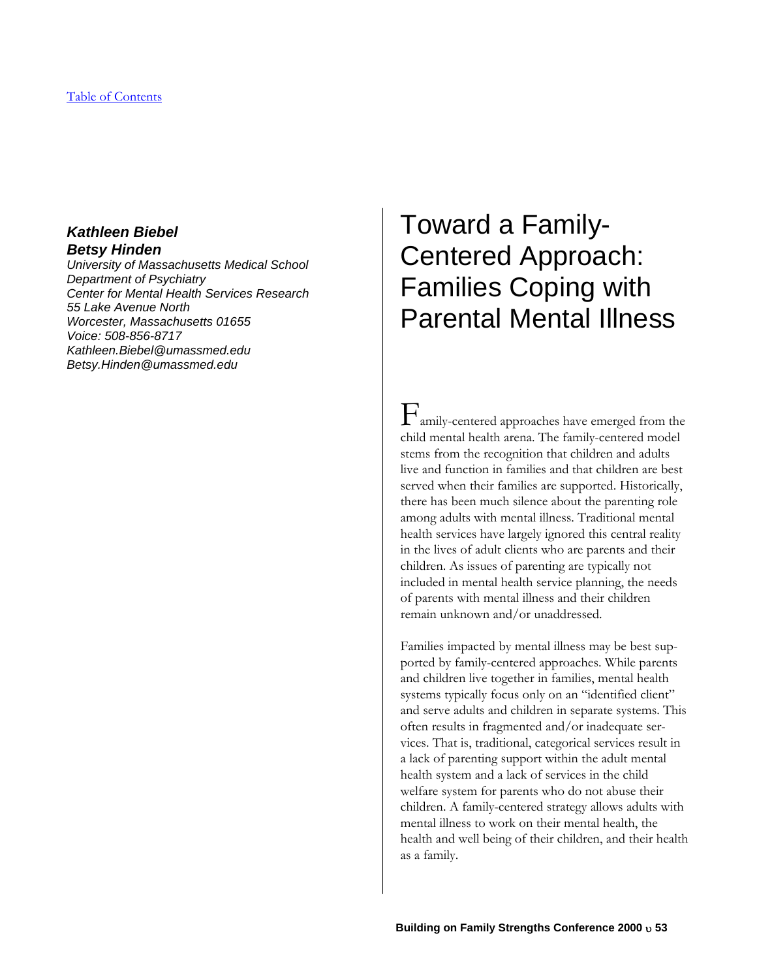### *Kathleen Biebel Betsy Hinden*

*University of Massachusetts Medical School Department of Psychiatry Center for Mental Health Services Research 55 Lake Avenue North Worcester, Massachusetts 01655 Voice: 508-856-8717 Kathleen.Biebel@umassmed.edu Betsy.Hinden@umassmed.edu* 

# Toward a Family-Centered Approach: Families Coping with Parental Mental Illness

 $\Gamma$ <sub>amily-centered approaches have emerged from the</sub> child mental health arena. The family-centered model stems from the recognition that children and adults live and function in families and that children are best served when their families are supported. Historically, there has been much silence about the parenting role among adults with mental illness. Traditional mental health services have largely ignored this central reality in the lives of adult clients who are parents and their children. As issues of parenting are typically not included in mental health service planning, the needs of parents with mental illness and their children remain unknown and/or unaddressed.

Families impacted by mental illness may be best supported by family-centered approaches. While parents and children live together in families, mental health systems typically focus only on an "identified client" and serve adults and children in separate systems. This often results in fragmented and/or inadequate services. That is, traditional, categorical services result in a lack of parenting support within the adult mental health system and a lack of services in the child welfare system for parents who do not abuse their children. A family-centered strategy allows adults with mental illness to work on their mental health, the health and well being of their children, and their health as a family.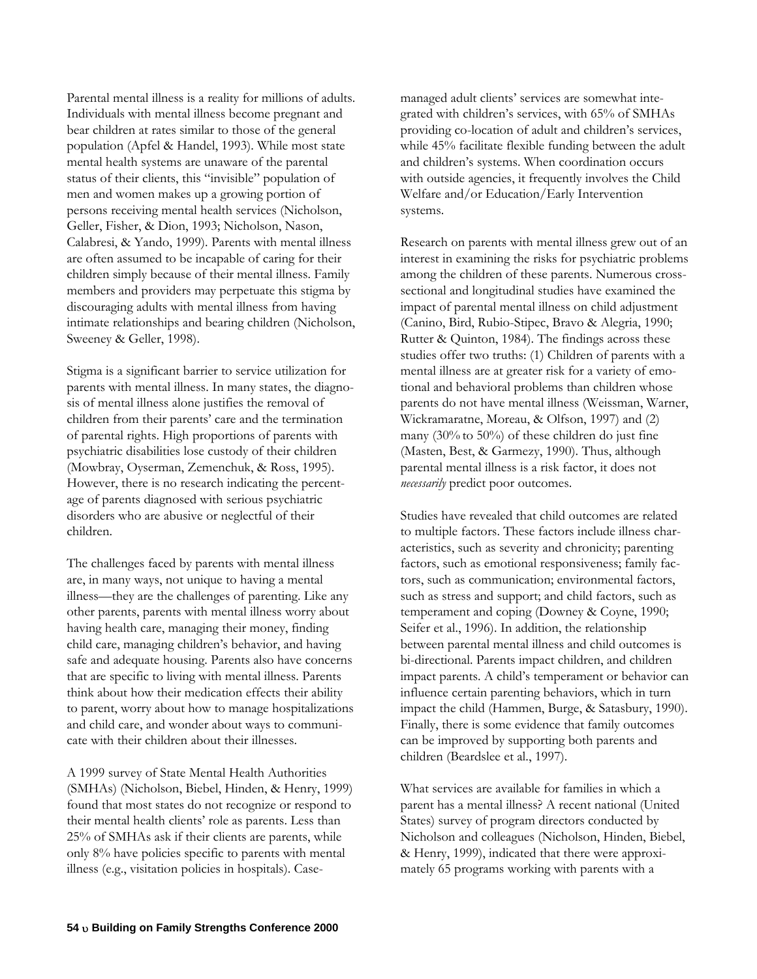Parental mental illness is a reality for millions of adults. Individuals with mental illness become pregnant and bear children at rates similar to those of the general population (Apfel & Handel, 1993). While most state mental health systems are unaware of the parental status of their clients, this "invisible" population of men and women makes up a growing portion of persons receiving mental health services (Nicholson, Geller, Fisher, & Dion, 1993; Nicholson, Nason, Calabresi, & Yando, 1999). Parents with mental illness are often assumed to be incapable of caring for their children simply because of their mental illness. Family members and providers may perpetuate this stigma by discouraging adults with mental illness from having intimate relationships and bearing children (Nicholson, Sweeney & Geller, 1998).

Stigma is a significant barrier to service utilization for parents with mental illness. In many states, the diagnosis of mental illness alone justifies the removal of children from their parents' care and the termination of parental rights. High proportions of parents with psychiatric disabilities lose custody of their children (Mowbray, Oyserman, Zemenchuk, & Ross, 1995). However, there is no research indicating the percentage of parents diagnosed with serious psychiatric disorders who are abusive or neglectful of their children.

The challenges faced by parents with mental illness are, in many ways, not unique to having a mental illness—they are the challenges of parenting. Like any other parents, parents with mental illness worry about having health care, managing their money, finding child care, managing children's behavior, and having safe and adequate housing. Parents also have concerns that are specific to living with mental illness. Parents think about how their medication effects their ability to parent, worry about how to manage hospitalizations and child care, and wonder about ways to communicate with their children about their illnesses.

A 1999 survey of State Mental Health Authorities (SMHAs) (Nicholson, Biebel, Hinden, & Henry, 1999) found that most states do not recognize or respond to their mental health clients' role as parents. Less than 25% of SMHAs ask if their clients are parents, while only 8% have policies specific to parents with mental illness (e.g., visitation policies in hospitals). Case-

managed adult clients' services are somewhat integrated with children's services, with 65% of SMHAs providing co-location of adult and children's services, while 45% facilitate flexible funding between the adult and children's systems. When coordination occurs with outside agencies, it frequently involves the Child Welfare and/or Education/Early Intervention systems.

Research on parents with mental illness grew out of an interest in examining the risks for psychiatric problems among the children of these parents. Numerous crosssectional and longitudinal studies have examined the impact of parental mental illness on child adjustment (Canino, Bird, Rubio-Stipec, Bravo & Alegria, 1990; Rutter & Quinton, 1984). The findings across these studies offer two truths: (1) Children of parents with a mental illness are at greater risk for a variety of emotional and behavioral problems than children whose parents do not have mental illness (Weissman, Warner, Wickramaratne, Moreau, & Olfson, 1997) and (2) many (30% to 50%) of these children do just fine (Masten, Best, & Garmezy, 1990). Thus, although parental mental illness is a risk factor, it does not *necessarily* predict poor outcomes.

Studies have revealed that child outcomes are related to multiple factors. These factors include illness characteristics, such as severity and chronicity; parenting factors, such as emotional responsiveness; family factors, such as communication; environmental factors, such as stress and support; and child factors, such as temperament and coping (Downey & Coyne, 1990; Seifer et al., 1996). In addition, the relationship between parental mental illness and child outcomes is bi-directional. Parents impact children, and children impact parents. A child's temperament or behavior can influence certain parenting behaviors, which in turn impact the child (Hammen, Burge, & Satasbury, 1990). Finally, there is some evidence that family outcomes can be improved by supporting both parents and children (Beardslee et al., 1997).

What services are available for families in which a parent has a mental illness? A recent national (United States) survey of program directors conducted by Nicholson and colleagues (Nicholson, Hinden, Biebel, & Henry, 1999), indicated that there were approximately 65 programs working with parents with a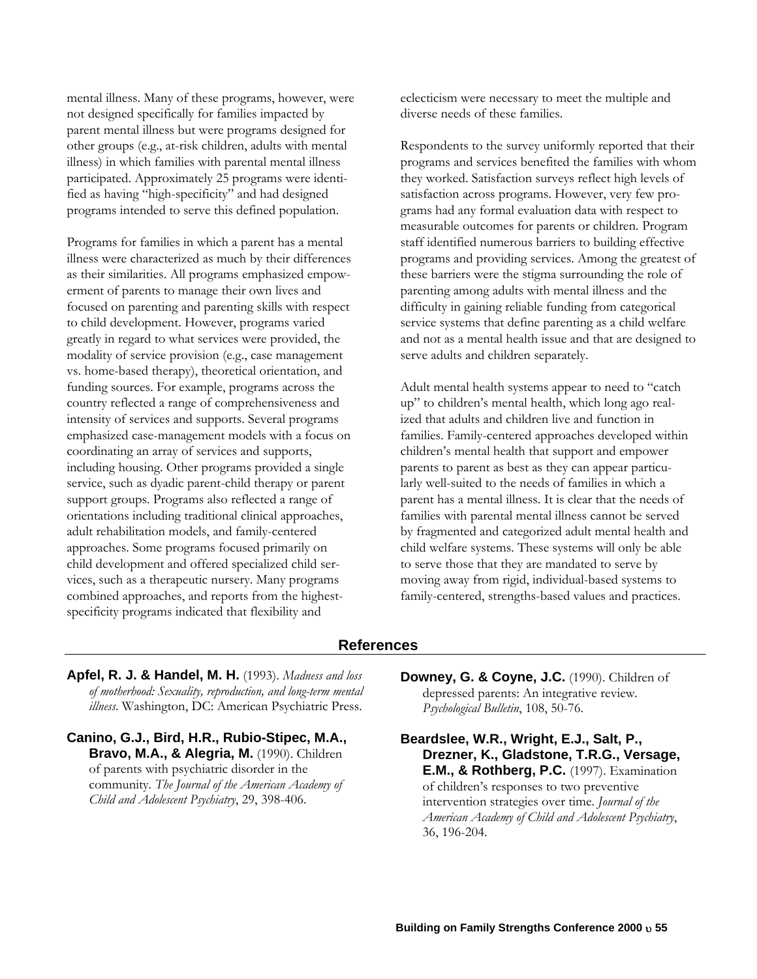mental illness. Many of these programs, however, were not designed specifically for families impacted by parent mental illness but were programs designed for other groups (e.g., at-risk children, adults with mental illness) in which families with parental mental illness participated. Approximately 25 programs were identified as having "high-specificity" and had designed programs intended to serve this defined population.

Programs for families in which a parent has a mental illness were characterized as much by their differences as their similarities. All programs emphasized empowerment of parents to manage their own lives and focused on parenting and parenting skills with respect to child development. However, programs varied greatly in regard to what services were provided, the modality of service provision (e.g., case management vs. home-based therapy), theoretical orientation, and funding sources. For example, programs across the country reflected a range of comprehensiveness and intensity of services and supports. Several programs emphasized case-management models with a focus on coordinating an array of services and supports, including housing. Other programs provided a single service, such as dyadic parent-child therapy or parent support groups. Programs also reflected a range of orientations including traditional clinical approaches, adult rehabilitation models, and family-centered approaches. Some programs focused primarily on child development and offered specialized child services, such as a therapeutic nursery. Many programs combined approaches, and reports from the highestspecificity programs indicated that flexibility and

eclecticism were necessary to meet the multiple and diverse needs of these families.

Respondents to the survey uniformly reported that their programs and services benefited the families with whom they worked. Satisfaction surveys reflect high levels of satisfaction across programs. However, very few programs had any formal evaluation data with respect to measurable outcomes for parents or children. Program staff identified numerous barriers to building effective programs and providing services. Among the greatest of these barriers were the stigma surrounding the role of parenting among adults with mental illness and the difficulty in gaining reliable funding from categorical service systems that define parenting as a child welfare and not as a mental health issue and that are designed to serve adults and children separately.

Adult mental health systems appear to need to "catch up" to children's mental health, which long ago realized that adults and children live and function in families. Family-centered approaches developed within children's mental health that support and empower parents to parent as best as they can appear particularly well-suited to the needs of families in which a parent has a mental illness. It is clear that the needs of families with parental mental illness cannot be served by fragmented and categorized adult mental health and child welfare systems. These systems will only be able to serve those that they are mandated to serve by moving away from rigid, individual-based systems to family-centered, strengths-based values and practices.

#### **References**

- **Apfel, R. J. & Handel, M. H.** (1993). *Madness and loss of motherhood: Sexuality, reproduction, and long-term mental illness*. Washington, DC: American Psychiatric Press.
- **Canino, G.J., Bird, H.R., Rubio-Stipec, M.A., Bravo, M.A., & Alegria, M.** (1990). Children of parents with psychiatric disorder in the community*. The Journal of the American Academy of Child and Adolescent Psychiatry*, 29, 398-406.
- **Downey, G. & Coyne, J.C.** (1990). Children of depressed parents: An integrative review*. Psychological Bulletin*, 108, 50-76.

**Beardslee, W.R., Wright, E.J., Salt, P., Drezner, K., Gladstone, T.R.G., Versage, E.M., & Rothberg, P.C.** (1997). Examination of children's responses to two preventive intervention strategies over time. *Journal of the American Academy of Child and Adolescent Psychiatry*, 36, 196-204.